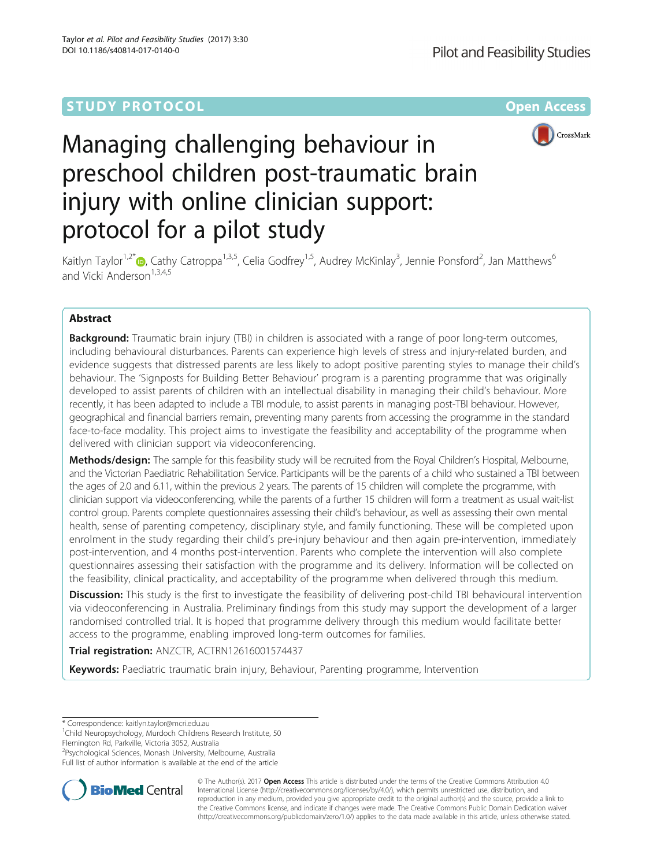# **STUDY PROTOCOL CONSUMING THE RESERVE ACCESS**



# Managing challenging behaviour in preschool children post-traumatic brain injury with online clinician support: protocol for a pilot study

Kaitlyn Taylor<sup>1[,](http://orcid.org/0000-0002-6808-1658)2\*</sup>®, Cathy Catroppa<sup>1,3,5</sup>, Celia Godfrey<sup>1,5</sup>, Audrey McKinlay<sup>3</sup>, Jennie Ponsford<sup>2</sup>, Jan Matthews<sup>6</sup> and Vicki Anderson<sup>1,3,4,5</sup>

# Abstract

**Background:** Traumatic brain injury (TBI) in children is associated with a range of poor long-term outcomes, including behavioural disturbances. Parents can experience high levels of stress and injury-related burden, and evidence suggests that distressed parents are less likely to adopt positive parenting styles to manage their child's behaviour. The 'Signposts for Building Better Behaviour' program is a parenting programme that was originally developed to assist parents of children with an intellectual disability in managing their child's behaviour. More recently, it has been adapted to include a TBI module, to assist parents in managing post-TBI behaviour. However, geographical and financial barriers remain, preventing many parents from accessing the programme in the standard face-to-face modality. This project aims to investigate the feasibility and acceptability of the programme when delivered with clinician support via videoconferencing.

Methods/design: The sample for this feasibility study will be recruited from the Royal Children's Hospital, Melbourne, and the Victorian Paediatric Rehabilitation Service. Participants will be the parents of a child who sustained a TBI between the ages of 2.0 and 6.11, within the previous 2 years. The parents of 15 children will complete the programme, with clinician support via videoconferencing, while the parents of a further 15 children will form a treatment as usual wait-list control group. Parents complete questionnaires assessing their child's behaviour, as well as assessing their own mental health, sense of parenting competency, disciplinary style, and family functioning. These will be completed upon enrolment in the study regarding their child's pre-injury behaviour and then again pre-intervention, immediately post-intervention, and 4 months post-intervention. Parents who complete the intervention will also complete questionnaires assessing their satisfaction with the programme and its delivery. Information will be collected on the feasibility, clinical practicality, and acceptability of the programme when delivered through this medium.

**Discussion:** This study is the first to investigate the feasibility of delivering post-child TBI behavioural intervention via videoconferencing in Australia. Preliminary findings from this study may support the development of a larger randomised controlled trial. It is hoped that programme delivery through this medium would facilitate better access to the programme, enabling improved long-term outcomes for families.

Trial registration: ANZCTR, [ACTRN12616001574437](http://www.ANZCTR.org.au/ACTRN12616001574437.aspx)

Keywords: Paediatric traumatic brain injury, Behaviour, Parenting programme, Intervention

\* Correspondence: [kaitlyn.taylor@mcri.edu.au](mailto:kaitlyn.taylor@mcri.edu.au) <sup>1</sup>

Flemington Rd, Parkville, Victoria 3052, Australia

2 Psychological Sciences, Monash University, Melbourne, Australia

Full list of author information is available at the end of the article



© The Author(s). 2017 **Open Access** This article is distributed under the terms of the Creative Commons Attribution 4.0 International License [\(http://creativecommons.org/licenses/by/4.0/](http://creativecommons.org/licenses/by/4.0/)), which permits unrestricted use, distribution, and reproduction in any medium, provided you give appropriate credit to the original author(s) and the source, provide a link to the Creative Commons license, and indicate if changes were made. The Creative Commons Public Domain Dedication waiver [\(http://creativecommons.org/publicdomain/zero/1.0/](http://creativecommons.org/publicdomain/zero/1.0/)) applies to the data made available in this article, unless otherwise stated.

Child Neuropsychology, Murdoch Childrens Research Institute, 50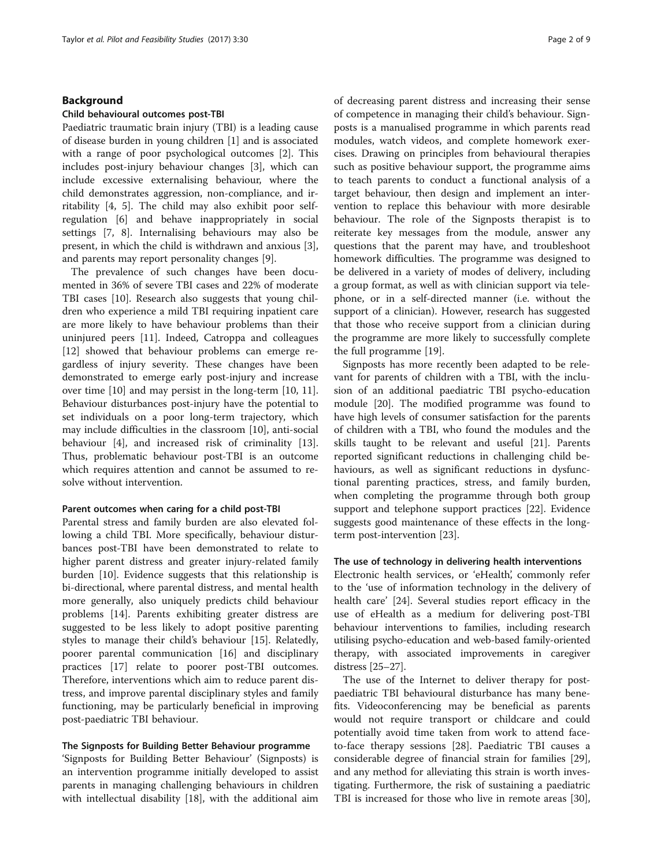# Background

#### Child behavioural outcomes post-TBI

Paediatric traumatic brain injury (TBI) is a leading cause of disease burden in young children [[1](#page-7-0)] and is associated with a range of poor psychological outcomes [[2\]](#page-7-0). This includes post-injury behaviour changes [\[3](#page-7-0)], which can include excessive externalising behaviour, where the child demonstrates aggression, non-compliance, and irritability [\[4, 5](#page-7-0)]. The child may also exhibit poor selfregulation [[6\]](#page-7-0) and behave inappropriately in social settings [\[7](#page-7-0), [8\]](#page-7-0). Internalising behaviours may also be present, in which the child is withdrawn and anxious [\[3](#page-7-0)], and parents may report personality changes [\[9\]](#page-7-0).

The prevalence of such changes have been documented in 36% of severe TBI cases and 22% of moderate TBI cases [[10\]](#page-7-0). Research also suggests that young children who experience a mild TBI requiring inpatient care are more likely to have behaviour problems than their uninjured peers [[11\]](#page-7-0). Indeed, Catroppa and colleagues [[12\]](#page-7-0) showed that behaviour problems can emerge regardless of injury severity. These changes have been demonstrated to emerge early post-injury and increase over time [\[10\]](#page-7-0) and may persist in the long-term [\[10](#page-7-0), [11](#page-7-0)]. Behaviour disturbances post-injury have the potential to set individuals on a poor long-term trajectory, which may include difficulties in the classroom [\[10](#page-7-0)], anti-social behaviour [\[4](#page-7-0)], and increased risk of criminality [\[13](#page-7-0)]. Thus, problematic behaviour post-TBI is an outcome which requires attention and cannot be assumed to resolve without intervention.

# Parent outcomes when caring for a child post-TBI

Parental stress and family burden are also elevated following a child TBI. More specifically, behaviour disturbances post-TBI have been demonstrated to relate to higher parent distress and greater injury-related family burden [\[10](#page-7-0)]. Evidence suggests that this relationship is bi-directional, where parental distress, and mental health more generally, also uniquely predicts child behaviour problems [[14\]](#page-7-0). Parents exhibiting greater distress are suggested to be less likely to adopt positive parenting styles to manage their child's behaviour [[15\]](#page-7-0). Relatedly, poorer parental communication [\[16](#page-7-0)] and disciplinary practices [[17](#page-7-0)] relate to poorer post-TBI outcomes. Therefore, interventions which aim to reduce parent distress, and improve parental disciplinary styles and family functioning, may be particularly beneficial in improving post-paediatric TBI behaviour.

#### The Signposts for Building Better Behaviour programme

'Signposts for Building Better Behaviour' (Signposts) is an intervention programme initially developed to assist parents in managing challenging behaviours in children with intellectual disability [[18\]](#page-7-0), with the additional aim

of decreasing parent distress and increasing their sense of competence in managing their child's behaviour. Signposts is a manualised programme in which parents read modules, watch videos, and complete homework exercises. Drawing on principles from behavioural therapies such as positive behaviour support, the programme aims to teach parents to conduct a functional analysis of a target behaviour, then design and implement an intervention to replace this behaviour with more desirable behaviour. The role of the Signposts therapist is to reiterate key messages from the module, answer any questions that the parent may have, and troubleshoot homework difficulties. The programme was designed to be delivered in a variety of modes of delivery, including a group format, as well as with clinician support via telephone, or in a self-directed manner (i.e. without the support of a clinician). However, research has suggested that those who receive support from a clinician during the programme are more likely to successfully complete the full programme [\[19](#page-7-0)].

Signposts has more recently been adapted to be relevant for parents of children with a TBI, with the inclusion of an additional paediatric TBI psycho-education module [\[20\]](#page-7-0). The modified programme was found to have high levels of consumer satisfaction for the parents of children with a TBI, who found the modules and the skills taught to be relevant and useful [[21\]](#page-7-0). Parents reported significant reductions in challenging child behaviours, as well as significant reductions in dysfunctional parenting practices, stress, and family burden, when completing the programme through both group support and telephone support practices [\[22\]](#page-7-0). Evidence suggests good maintenance of these effects in the longterm post-intervention [[23\]](#page-7-0).

# The use of technology in delivering health interventions

Electronic health services, or 'eHealth', commonly refer to the 'use of information technology in the delivery of health care' [\[24](#page-7-0)]. Several studies report efficacy in the use of eHealth as a medium for delivering post-TBI behaviour interventions to families, including research utilising psycho-education and web-based family-oriented therapy, with associated improvements in caregiver distress [\[25](#page-7-0)–[27](#page-7-0)].

The use of the Internet to deliver therapy for postpaediatric TBI behavioural disturbance has many benefits. Videoconferencing may be beneficial as parents would not require transport or childcare and could potentially avoid time taken from work to attend faceto-face therapy sessions [\[28](#page-7-0)]. Paediatric TBI causes a considerable degree of financial strain for families [\[29](#page-7-0)], and any method for alleviating this strain is worth investigating. Furthermore, the risk of sustaining a paediatric TBI is increased for those who live in remote areas [\[30](#page-7-0)],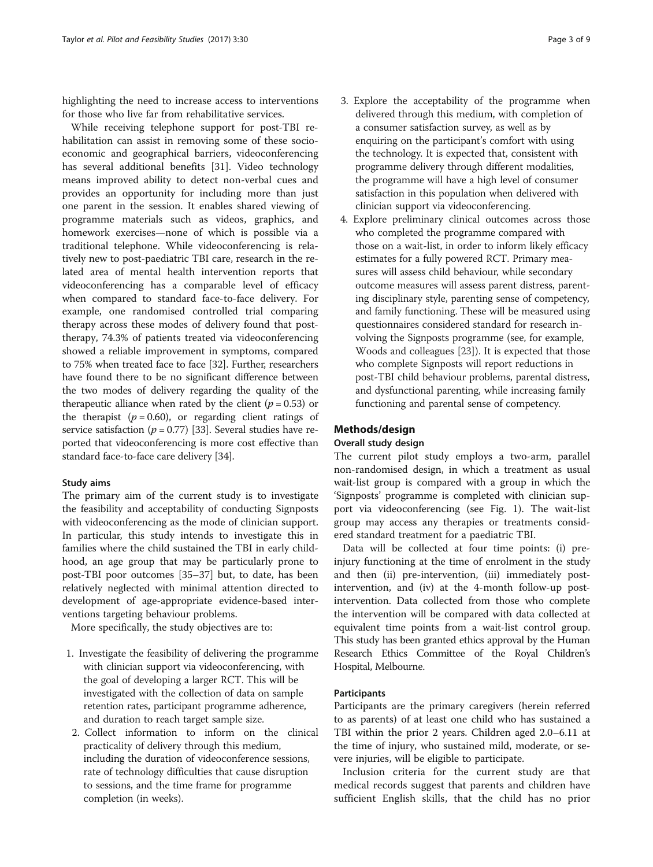highlighting the need to increase access to interventions for those who live far from rehabilitative services.

While receiving telephone support for post-TBI rehabilitation can assist in removing some of these socioeconomic and geographical barriers, videoconferencing has several additional benefits [[31\]](#page-7-0). Video technology means improved ability to detect non-verbal cues and provides an opportunity for including more than just one parent in the session. It enables shared viewing of programme materials such as videos, graphics, and homework exercises—none of which is possible via a traditional telephone. While videoconferencing is relatively new to post-paediatric TBI care, research in the related area of mental health intervention reports that videoconferencing has a comparable level of efficacy when compared to standard face-to-face delivery. For example, one randomised controlled trial comparing therapy across these modes of delivery found that posttherapy, 74.3% of patients treated via videoconferencing showed a reliable improvement in symptoms, compared to 75% when treated face to face [[32](#page-7-0)]. Further, researchers have found there to be no significant difference between the two modes of delivery regarding the quality of the therapeutic alliance when rated by the client ( $p = 0.53$ ) or the therapist  $(p = 0.60)$ , or regarding client ratings of service satisfaction ( $p = 0.77$ ) [\[33\]](#page-7-0). Several studies have reported that videoconferencing is more cost effective than standard face-to-face care delivery [\[34\]](#page-7-0).

#### Study aims

The primary aim of the current study is to investigate the feasibility and acceptability of conducting Signposts with videoconferencing as the mode of clinician support. In particular, this study intends to investigate this in families where the child sustained the TBI in early childhood, an age group that may be particularly prone to post-TBI poor outcomes [[35](#page-7-0)–[37\]](#page-7-0) but, to date, has been relatively neglected with minimal attention directed to development of age-appropriate evidence-based interventions targeting behaviour problems.

More specifically, the study objectives are to:

- 1. Investigate the feasibility of delivering the programme with clinician support via videoconferencing, with the goal of developing a larger RCT. This will be investigated with the collection of data on sample retention rates, participant programme adherence, and duration to reach target sample size.
- 2. Collect information to inform on the clinical practicality of delivery through this medium, including the duration of videoconference sessions, rate of technology difficulties that cause disruption to sessions, and the time frame for programme completion (in weeks).
- 3. Explore the acceptability of the programme when delivered through this medium, with completion of a consumer satisfaction survey, as well as by enquiring on the participant's comfort with using the technology. It is expected that, consistent with programme delivery through different modalities, the programme will have a high level of consumer satisfaction in this population when delivered with clinician support via videoconferencing.
- 4. Explore preliminary clinical outcomes across those who completed the programme compared with those on a wait-list, in order to inform likely efficacy estimates for a fully powered RCT. Primary measures will assess child behaviour, while secondary outcome measures will assess parent distress, parenting disciplinary style, parenting sense of competency, and family functioning. These will be measured using questionnaires considered standard for research involving the Signposts programme (see, for example, Woods and colleagues [\[23](#page-7-0)]). It is expected that those who complete Signposts will report reductions in post-TBI child behaviour problems, parental distress, and dysfunctional parenting, while increasing family functioning and parental sense of competency.

# Methods/design

# Overall study design

The current pilot study employs a two-arm, parallel non-randomised design, in which a treatment as usual wait-list group is compared with a group in which the 'Signposts' programme is completed with clinician support via videoconferencing (see Fig. [1\)](#page-3-0). The wait-list group may access any therapies or treatments considered standard treatment for a paediatric TBI.

Data will be collected at four time points: (i) preinjury functioning at the time of enrolment in the study and then (ii) pre-intervention, (iii) immediately postintervention, and (iv) at the 4-month follow-up postintervention. Data collected from those who complete the intervention will be compared with data collected at equivalent time points from a wait-list control group. This study has been granted ethics approval by the Human Research Ethics Committee of the Royal Children's Hospital, Melbourne.

# Participants

Participants are the primary caregivers (herein referred to as parents) of at least one child who has sustained a TBI within the prior 2 years. Children aged 2.0–6.11 at the time of injury, who sustained mild, moderate, or severe injuries, will be eligible to participate.

Inclusion criteria for the current study are that medical records suggest that parents and children have sufficient English skills, that the child has no prior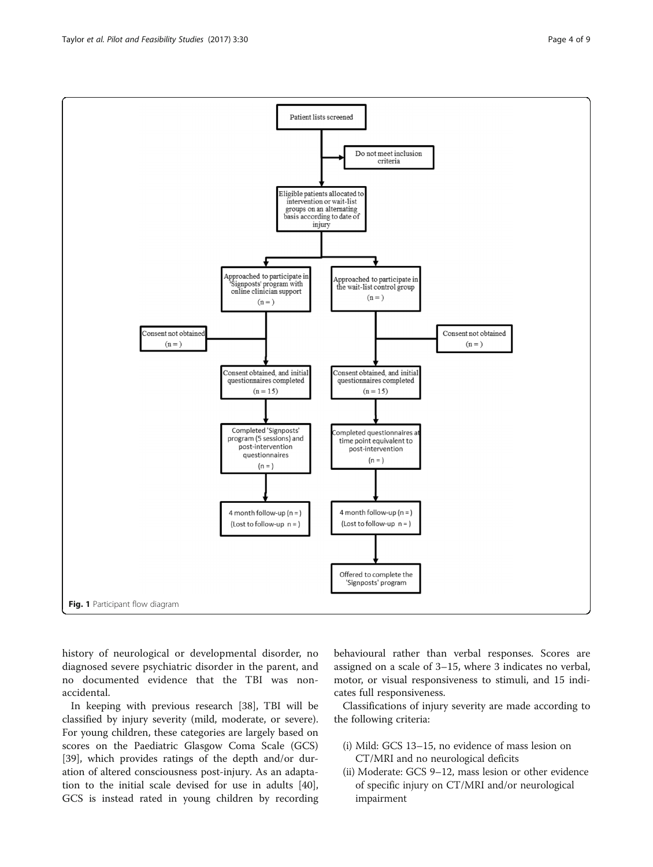history of neurological or developmental disorder, no diagnosed severe psychiatric disorder in the parent, and no documented evidence that the TBI was nonaccidental.

In keeping with previous research [[38\]](#page-7-0), TBI will be classified by injury severity (mild, moderate, or severe). For young children, these categories are largely based on scores on the Paediatric Glasgow Coma Scale (GCS) [[39\]](#page-7-0), which provides ratings of the depth and/or duration of altered consciousness post-injury. As an adaptation to the initial scale devised for use in adults [\[40](#page-7-0)], GCS is instead rated in young children by recording behavioural rather than verbal responses. Scores are assigned on a scale of 3–15, where 3 indicates no verbal, motor, or visual responsiveness to stimuli, and 15 indicates full responsiveness.

Classifications of injury severity are made according to the following criteria:

- (i) Mild: GCS 13–15, no evidence of mass lesion on CT/MRI and no neurological deficits
- (ii) Moderate: GCS 9–12, mass lesion or other evidence of specific injury on CT/MRI and/or neurological impairment

<span id="page-3-0"></span>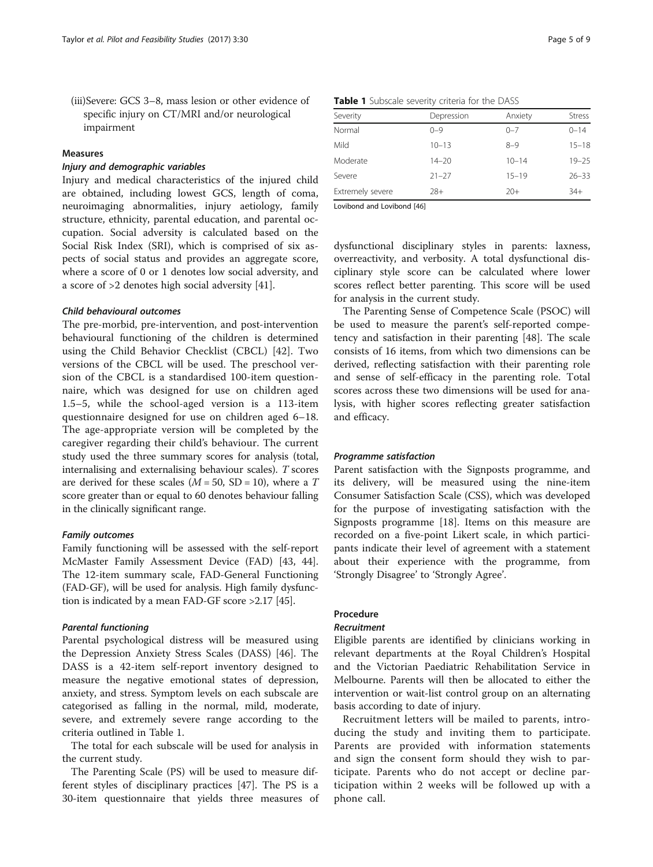(iii)Severe: GCS 3–8, mass lesion or other evidence of specific injury on CT/MRI and/or neurological impairment

# Measures

# Injury and demographic variables

Injury and medical characteristics of the injured child are obtained, including lowest GCS, length of coma, neuroimaging abnormalities, injury aetiology, family structure, ethnicity, parental education, and parental occupation. Social adversity is calculated based on the Social Risk Index (SRI), which is comprised of six aspects of social status and provides an aggregate score, where a score of 0 or 1 denotes low social adversity, and a score of >2 denotes high social adversity [[41\]](#page-7-0).

#### Child behavioural outcomes

The pre-morbid, pre-intervention, and post-intervention behavioural functioning of the children is determined using the Child Behavior Checklist (CBCL) [[42\]](#page-7-0). Two versions of the CBCL will be used. The preschool version of the CBCL is a standardised 100-item questionnaire, which was designed for use on children aged 1.5–5, while the school-aged version is a 113-item questionnaire designed for use on children aged 6–18. The age-appropriate version will be completed by the caregiver regarding their child's behaviour. The current study used the three summary scores for analysis (total, internalising and externalising behaviour scales). T scores are derived for these scales  $(M = 50, SD = 10)$ , where a T score greater than or equal to 60 denotes behaviour falling in the clinically significant range.

# Family outcomes

Family functioning will be assessed with the self-report McMaster Family Assessment Device (FAD) [[43, 44](#page-7-0)]. The 12-item summary scale, FAD-General Functioning (FAD-GF), will be used for analysis. High family dysfunction is indicated by a mean FAD-GF score >2.17 [[45](#page-7-0)].

#### Parental functioning

Parental psychological distress will be measured using the Depression Anxiety Stress Scales (DASS) [[46\]](#page-7-0). The DASS is a 42-item self-report inventory designed to measure the negative emotional states of depression, anxiety, and stress. Symptom levels on each subscale are categorised as falling in the normal, mild, moderate, severe, and extremely severe range according to the criteria outlined in Table 1.

The total for each subscale will be used for analysis in the current study.

The Parenting Scale (PS) will be used to measure different styles of disciplinary practices [[47](#page-7-0)]. The PS is a 30-item questionnaire that yields three measures of

|          | Table 1 Subscale severity criteria for the DASS |            |         |
|----------|-------------------------------------------------|------------|---------|
| Savarity |                                                 | Denression | Anviety |

| Severity         | Depression | Anxiety   | <b>Stress</b> |
|------------------|------------|-----------|---------------|
| Normal           | $() - 9$   | $0 - 7$   | $0 - 14$      |
| Mild             | $10 - 13$  | $8 - 9$   | $15 - 18$     |
| Moderate         | $14 - 20$  | $10 - 14$ | $19 - 25$     |
| Severe           | $21 - 27$  | $15 - 19$ | $26 - 33$     |
| Extremely severe | $28+$      | $20+$     | $34+$         |
|                  |            |           |               |

Lovibond and Lovibond [\[46\]](#page-7-0)

dysfunctional disciplinary styles in parents: laxness, overreactivity, and verbosity. A total dysfunctional disciplinary style score can be calculated where lower scores reflect better parenting. This score will be used for analysis in the current study.

The Parenting Sense of Competence Scale (PSOC) will be used to measure the parent's self-reported competency and satisfaction in their parenting [[48\]](#page-8-0). The scale consists of 16 items, from which two dimensions can be derived, reflecting satisfaction with their parenting role and sense of self-efficacy in the parenting role. Total scores across these two dimensions will be used for analysis, with higher scores reflecting greater satisfaction and efficacy.

# Programme satisfaction

Parent satisfaction with the Signposts programme, and its delivery, will be measured using the nine-item Consumer Satisfaction Scale (CSS), which was developed for the purpose of investigating satisfaction with the Signposts programme [\[18\]](#page-7-0). Items on this measure are recorded on a five-point Likert scale, in which participants indicate their level of agreement with a statement about their experience with the programme, from 'Strongly Disagree' to 'Strongly Agree'.

# Procedure

#### Recruitment

Eligible parents are identified by clinicians working in relevant departments at the Royal Children's Hospital and the Victorian Paediatric Rehabilitation Service in Melbourne. Parents will then be allocated to either the intervention or wait-list control group on an alternating basis according to date of injury.

Recruitment letters will be mailed to parents, introducing the study and inviting them to participate. Parents are provided with information statements and sign the consent form should they wish to participate. Parents who do not accept or decline participation within 2 weeks will be followed up with a phone call.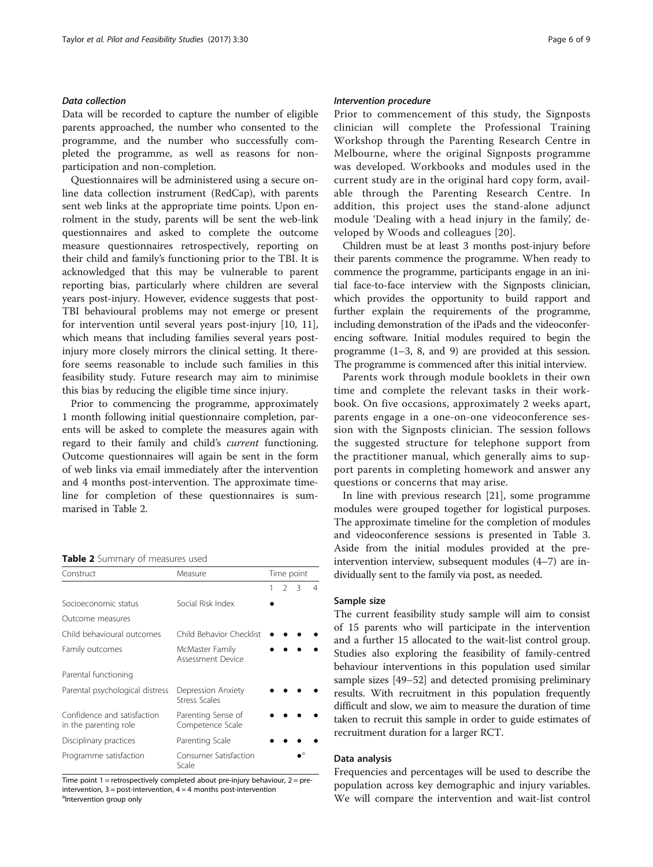# Data collection

Data will be recorded to capture the number of eligible parents approached, the number who consented to the programme, and the number who successfully completed the programme, as well as reasons for nonparticipation and non-completion.

Questionnaires will be administered using a secure online data collection instrument (RedCap), with parents sent web links at the appropriate time points. Upon enrolment in the study, parents will be sent the web-link questionnaires and asked to complete the outcome measure questionnaires retrospectively, reporting on their child and family's functioning prior to the TBI. It is acknowledged that this may be vulnerable to parent reporting bias, particularly where children are several years post-injury. However, evidence suggests that post-TBI behavioural problems may not emerge or present for intervention until several years post-injury [\[10, 11](#page-7-0)], which means that including families several years postinjury more closely mirrors the clinical setting. It therefore seems reasonable to include such families in this feasibility study. Future research may aim to minimise this bias by reducing the eligible time since injury.

Prior to commencing the programme, approximately 1 month following initial questionnaire completion, parents will be asked to complete the measures again with regard to their family and child's current functioning. Outcome questionnaires will again be sent in the form of web links via email immediately after the intervention and 4 months post-intervention. The approximate timeline for completion of these questionnaires is summarised in Table 2.

Table 2 Summary of measures used

| Construct                                            | Measure                                |   |               | Time point |   |
|------------------------------------------------------|----------------------------------------|---|---------------|------------|---|
|                                                      |                                        | 1 | $\mathcal{P}$ | 3          | 4 |
| Socioeconomic status                                 | Social Risk Index                      |   |               |            |   |
| Outcome measures                                     |                                        |   |               |            |   |
| Child behavioural outcomes                           | Child Behavior Checklist               |   |               |            |   |
| Family outcomes                                      | McMaster Family<br>Assessment Device   |   |               |            |   |
| Parental functioning                                 |                                        |   |               |            |   |
| Parental psychological distress                      | Depression Anxiety<br>Stress Scales    |   |               |            |   |
| Confidence and satisfaction<br>in the parenting role | Parenting Sense of<br>Competence Scale |   |               |            |   |
| Disciplinary practices                               | Parenting Scale                        |   |               |            |   |
| Programme satisfaction                               | Consumer Satisfaction<br>Scale         |   |               | a          |   |

Time point  $1$  = retrospectively completed about pre-injury behaviour,  $2$  = preintervention,  $3 =$  post-intervention,  $4 = 4$  months post-intervention <sup>a</sup>Intervention group only

#### Intervention procedure

Prior to commencement of this study, the Signposts clinician will complete the Professional Training Workshop through the Parenting Research Centre in Melbourne, where the original Signposts programme was developed. Workbooks and modules used in the current study are in the original hard copy form, available through the Parenting Research Centre. In addition, this project uses the stand-alone adjunct module 'Dealing with a head injury in the family', developed by Woods and colleagues [[20\]](#page-7-0).

Children must be at least 3 months post-injury before their parents commence the programme. When ready to commence the programme, participants engage in an initial face-to-face interview with the Signposts clinician, which provides the opportunity to build rapport and further explain the requirements of the programme, including demonstration of the iPads and the videoconferencing software. Initial modules required to begin the programme (1–3, 8, and 9) are provided at this session. The programme is commenced after this initial interview.

Parents work through module booklets in their own time and complete the relevant tasks in their workbook. On five occasions, approximately 2 weeks apart, parents engage in a one-on-one videoconference session with the Signposts clinician. The session follows the suggested structure for telephone support from the practitioner manual, which generally aims to support parents in completing homework and answer any questions or concerns that may arise.

In line with previous research [\[21](#page-7-0)], some programme modules were grouped together for logistical purposes. The approximate timeline for the completion of modules and videoconference sessions is presented in Table [3](#page-6-0). Aside from the initial modules provided at the preintervention interview, subsequent modules (4–7) are individually sent to the family via post, as needed.

### Sample size

The current feasibility study sample will aim to consist of 15 parents who will participate in the intervention and a further 15 allocated to the wait-list control group. Studies also exploring the feasibility of family-centred behaviour interventions in this population used similar sample sizes [\[49](#page-8-0)–[52](#page-8-0)] and detected promising preliminary results. With recruitment in this population frequently difficult and slow, we aim to measure the duration of time taken to recruit this sample in order to guide estimates of recruitment duration for a larger RCT.

# Data analysis

Frequencies and percentages will be used to describe the population across key demographic and injury variables. We will compare the intervention and wait-list control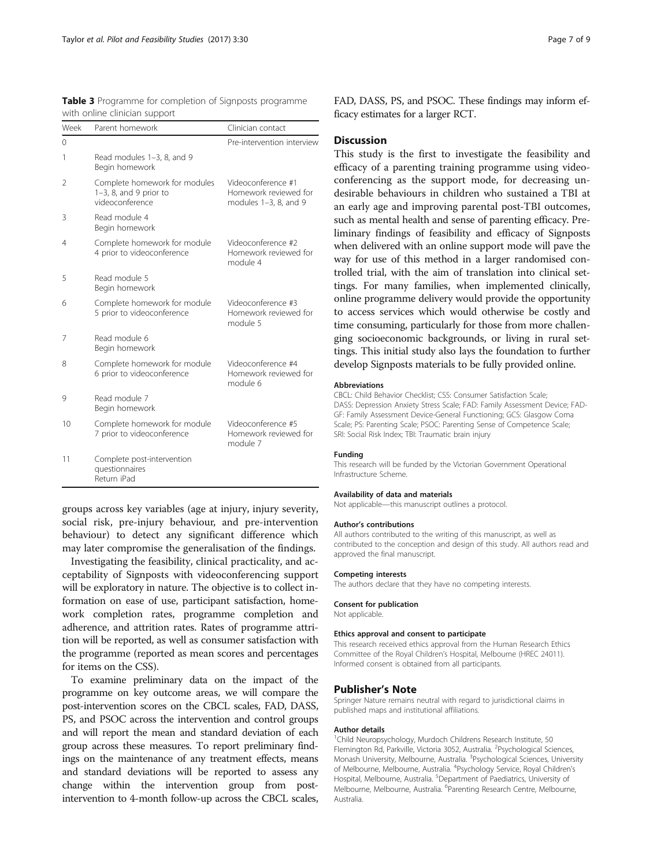<span id="page-6-0"></span>

| Table 3 Programme for completion of Signposts programme |  |  |
|---------------------------------------------------------|--|--|
| with online clinician support                           |  |  |

| Week     | Parent homework                                                               | Clinician contact                                                       |
|----------|-------------------------------------------------------------------------------|-------------------------------------------------------------------------|
| $\Omega$ |                                                                               | Pre-intervention interview                                              |
| 1        | Read modules 1-3, 8, and 9<br>Begin homework                                  |                                                                         |
| 2        | Complete homework for modules<br>$1-3$ , 8, and 9 prior to<br>videoconference | Videoconference #1<br>Homework reviewed for<br>modules $1-3$ , 8, and 9 |
| 3        | Read module 4<br>Begin homework                                               |                                                                         |
| 4        | Complete homework for module<br>4 prior to videoconference                    | Videoconference #2<br>Homework reviewed for<br>module 4                 |
| 5        | Read module 5<br>Begin homework                                               |                                                                         |
| 6        | Complete homework for module<br>5 prior to videoconference                    | Videoconference #3<br>Homework reviewed for<br>module 5                 |
| 7        | Read module 6<br>Begin homework                                               |                                                                         |
| 8        | Complete homework for module<br>6 prior to videoconference                    | Videoconference #4<br>Homework reviewed for<br>module 6                 |
| 9        | Read module 7<br>Begin homework                                               |                                                                         |
| 10       | Complete homework for module<br>7 prior to videoconference                    | Videoconference #5<br>Homework reviewed for<br>module 7                 |
| 11       | Complete post-intervention<br>questionnaires<br>Return iPad                   |                                                                         |

groups across key variables (age at injury, injury severity, social risk, pre-injury behaviour, and pre-intervention behaviour) to detect any significant difference which may later compromise the generalisation of the findings.

Investigating the feasibility, clinical practicality, and acceptability of Signposts with videoconferencing support will be exploratory in nature. The objective is to collect information on ease of use, participant satisfaction, homework completion rates, programme completion and adherence, and attrition rates. Rates of programme attrition will be reported, as well as consumer satisfaction with the programme (reported as mean scores and percentages for items on the CSS).

To examine preliminary data on the impact of the programme on key outcome areas, we will compare the post-intervention scores on the CBCL scales, FAD, DASS, PS, and PSOC across the intervention and control groups and will report the mean and standard deviation of each group across these measures. To report preliminary findings on the maintenance of any treatment effects, means and standard deviations will be reported to assess any change within the intervention group from postintervention to 4-month follow-up across the CBCL scales,

FAD, DASS, PS, and PSOC. These findings may inform efficacy estimates for a larger RCT.

#### **Discussion**

This study is the first to investigate the feasibility and efficacy of a parenting training programme using videoconferencing as the support mode, for decreasing undesirable behaviours in children who sustained a TBI at an early age and improving parental post-TBI outcomes, such as mental health and sense of parenting efficacy. Preliminary findings of feasibility and efficacy of Signposts when delivered with an online support mode will pave the way for use of this method in a larger randomised controlled trial, with the aim of translation into clinical settings. For many families, when implemented clinically, online programme delivery would provide the opportunity to access services which would otherwise be costly and time consuming, particularly for those from more challenging socioeconomic backgrounds, or living in rural settings. This initial study also lays the foundation to further develop Signposts materials to be fully provided online.

#### Abbreviations

CBCL: Child Behavior Checklist; CSS: Consumer Satisfaction Scale; DASS: Depression Anxiety Stress Scale; FAD: Family Assessment Device; FAD-GF: Family Assessment Device-General Functioning; GCS: Glasgow Coma Scale; PS: Parenting Scale; PSOC: Parenting Sense of Competence Scale; SRI: Social Risk Index; TBI: Traumatic brain injury

#### Funding

This research will be funded by the Victorian Government Operational Infrastructure Scheme.

#### Availability of data and materials

Not applicable—this manuscript outlines a protocol.

#### Author's contributions

All authors contributed to the writing of this manuscript, as well as contributed to the conception and design of this study. All authors read and approved the final manuscript.

#### Competing interests

The authors declare that they have no competing interests.

#### Consent for publication

Not applicable.

#### Ethics approval and consent to participate

This research received ethics approval from the Human Research Ethics Committee of the Royal Children's Hospital, Melbourne (HREC 24011). Informed consent is obtained from all participants.

#### Publisher's Note

Springer Nature remains neutral with regard to jurisdictional claims in published maps and institutional affiliations.

#### Author details

<sup>1</sup> Child Neuropsychology, Murdoch Childrens Research Institute, 50 Flemington Rd, Parkville, Victoria 3052, Australia. <sup>2</sup>Psychological Sciences Monash University, Melbourne, Australia. <sup>3</sup>Psychological Sciences, University of Melbourne, Melbourne, Australia. <sup>4</sup>Psychology Service, Royal Children's Hospital, Melbourne, Australia. <sup>5</sup>Department of Paediatrics, University of Melbourne, Melbourne, Australia. <sup>6</sup>Parenting Research Centre, Melbourne Australia.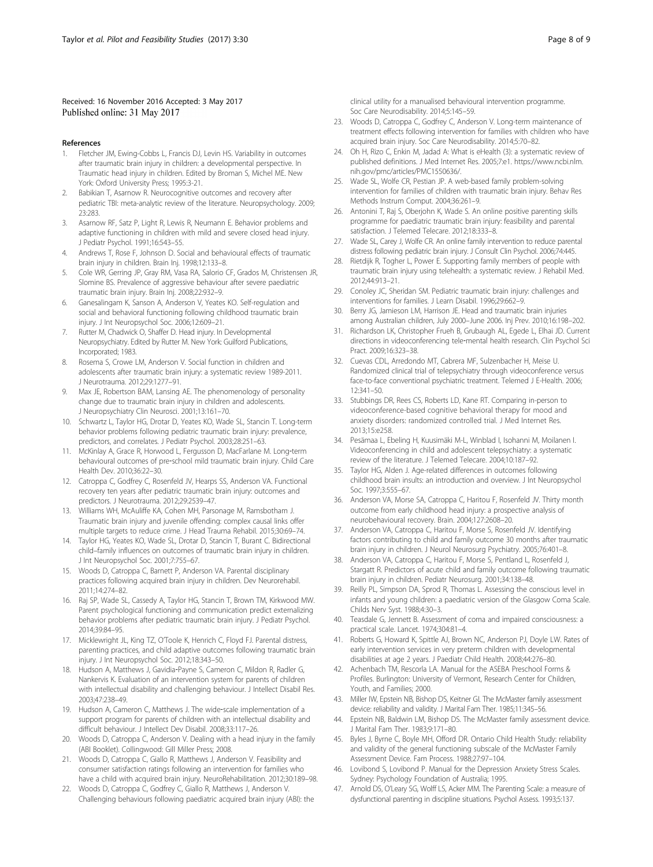#### <span id="page-7-0"></span>Received: 16 November 2016 Accepted: 3 May 2017 Published online: 31 May 2017

#### References

- 1. Fletcher JM, Ewing-Cobbs L, Francis DJ, Levin HS. Variability in outcomes after traumatic brain injury in children: a developmental perspective. In Traumatic head injury in children. Edited by Broman S, Michel ME. New York: Oxford University Press; 1995:3-21.
- Babikian T, Asarnow R. Neurocognitive outcomes and recovery after pediatric TBI: meta-analytic review of the literature. Neuropsychology. 2009; 23:283.
- 3. Asarnow RF, Satz P, Light R, Lewis R, Neumann E. Behavior problems and adaptive functioning in children with mild and severe closed head injury. J Pediatr Psychol. 1991;16:543–55.
- 4. Andrews T, Rose F, Johnson D. Social and behavioural effects of traumatic brain injury in children. Brain Inj. 1998;12:133–8.
- 5. Cole WR, Gerring JP, Gray RM, Vasa RA, Salorio CF, Grados M, Christensen JR, Slomine BS. Prevalence of aggressive behaviour after severe paediatric traumatic brain injury. Brain Inj. 2008;22:932–9.
- 6. Ganesalingam K, Sanson A, Anderson V, Yeates KO. Self-regulation and social and behavioral functioning following childhood traumatic brain injury. J Int Neuropsychol Soc. 2006;12:609–21.
- 7. Rutter M, Chadwick O, Shaffer D. Head injury. In Developmental Neuropsychiatry. Edited by Rutter M. New York: Guilford Publications, Incorporated; 1983.
- 8. Rosema S, Crowe LM, Anderson V, Social function in children and adolescents after traumatic brain injury: a systematic review 1989-2011. J Neurotrauma. 2012;29:1277–91.
- Max JE, Robertson BAM, Lansing AE. The phenomenology of personality change due to traumatic brain injury in children and adolescents. J Neuropsychiatry Clin Neurosci. 2001;13:161–70.
- 10. Schwartz L, Taylor HG, Drotar D, Yeates KO, Wade SL, Stancin T. Long-term behavior problems following pediatric traumatic brain injury: prevalence, predictors, and correlates. J Pediatr Psychol. 2003;28:251–63.
- 11. McKinlay A, Grace R, Horwood L, Fergusson D, MacFarlane M. Long-term behavioural outcomes of pre‐school mild traumatic brain injury. Child Care Health Dev. 2010;36:22–30.
- 12. Catroppa C, Godfrey C, Rosenfeld JV, Hearps SS, Anderson VA. Functional recovery ten years after pediatric traumatic brain injury: outcomes and predictors. J Neurotrauma. 2012;29:2539–47.
- 13. Williams WH, McAuliffe KA, Cohen MH, Parsonage M, Ramsbotham J. Traumatic brain injury and juvenile offending: complex causal links offer multiple targets to reduce crime. J Head Trauma Rehabil. 2015;30:69–74.
- 14. Taylor HG, Yeates KO, Wade SL, Drotar D, Stancin T, Burant C. Bidirectional child–family influences on outcomes of traumatic brain injury in children. J Int Neuropsychol Soc. 2001;7:755–67.
- 15. Woods D, Catroppa C, Barnett P, Anderson VA. Parental disciplinary practices following acquired brain injury in children. Dev Neurorehabil. 2011;14:274–82.
- 16. Raj SP, Wade SL, Cassedy A, Taylor HG, Stancin T, Brown TM, Kirkwood MW. Parent psychological functioning and communication predict externalizing behavior problems after pediatric traumatic brain injury. J Pediatr Psychol. 2014;39:84–95.
- 17. Micklewright JL, King TZ, O'Toole K, Henrich C, Floyd FJ. Parental distress, parenting practices, and child adaptive outcomes following traumatic brain injury. J Int Neuropsychol Soc. 2012;18:343–50.
- 18. Hudson A, Matthews J, Gavidia‐Payne S, Cameron C, Mildon R, Radler G, Nankervis K. Evaluation of an intervention system for parents of children with intellectual disability and challenging behaviour. J Intellect Disabil Res. 2003;47:238–49.
- 19. Hudson A, Cameron C, Matthews J. The wide-scale implementation of a support program for parents of children with an intellectual disability and difficult behaviour. J Intellect Dev Disabil. 2008;33:117–26.
- 20. Woods D, Catroppa C, Anderson V. Dealing with a head injury in the family (ABI Booklet). Collingwood: Gill Miller Press; 2008.
- 21. Woods D, Catroppa C, Giallo R, Matthews J, Anderson V. Feasibility and consumer satisfaction ratings following an intervention for families who have a child with acquired brain injury. NeuroRehabilitation. 2012;30:189–98.
- 22. Woods D, Catroppa C, Godfrey C, Giallo R, Matthews J, Anderson V. Challenging behaviours following paediatric acquired brain injury (ABI): the

clinical utility for a manualised behavioural intervention programme. Soc Care Neurodisability. 2014;5:145–59.

- 23. Woods D, Catroppa C, Godfrey C, Anderson V, Long-term maintenance of treatment effects following intervention for families with children who have acquired brain injury. Soc Care Neurodisability. 2014;5:70–82.
- 24. Oh H, Rizo C, Enkin M, Jadad A: What is eHealth (3): a systematic review of published definitions. J Med Internet Res. 2005;7:e1. [https://www.ncbi.nlm.](https://www.ncbi.nlm.nih.gov/pmc/articles/PMC1550636/) [nih.gov/pmc/articles/PMC1550636/.](https://www.ncbi.nlm.nih.gov/pmc/articles/PMC1550636/)
- 25. Wade SL, Wolfe CR, Pestian JP. A web-based family problem-solving intervention for families of children with traumatic brain injury. Behav Res Methods Instrum Comput. 2004;36:261–9.
- 26. Antonini T, Raj S, Oberjohn K, Wade S. An online positive parenting skills programme for paediatric traumatic brain injury: feasibility and parental satisfaction. J Telemed Telecare. 2012;18:333–8.
- 27. Wade SL, Carey J, Wolfe CR. An online family intervention to reduce parental distress following pediatric brain injury. J Consult Clin Psychol. 2006;74:445.
- 28. Rietdijk R, Togher L, Power E. Supporting family members of people with traumatic brain injury using telehealth: a systematic review. J Rehabil Med. 2012;44:913–21.
- 29. Conoley JC, Sheridan SM. Pediatric traumatic brain injury: challenges and interventions for families. J Learn Disabil. 1996;29:662–9.
- 30. Berry JG, Jamieson LM, Harrison JE. Head and traumatic brain injuries among Australian children, July 2000–June 2006. Inj Prev. 2010;16:198–202.
- 31. Richardson LK, Christopher Frueh B, Grubaugh AL, Egede L, Elhai JD. Current directions in videoconferencing tele‐mental health research. Clin Psychol Sci Pract. 2009;16:323–38.
- 32. Cuevas CDL, Arredondo MT, Cabrera MF, Sulzenbacher H, Meise U. Randomized clinical trial of telepsychiatry through videoconference versus face-to-face conventional psychiatric treatment. Telemed J E-Health. 2006; 12:341–50.
- 33. Stubbings DR, Rees CS, Roberts LD, Kane RT. Comparing in-person to videoconference-based cognitive behavioral therapy for mood and anxiety disorders: randomized controlled trial. J Med Internet Res. 2013;15:e258.
- 34. Pesämaa L, Ebeling H, Kuusimäki M-L, Winblad I, Isohanni M, Moilanen I. Videoconferencing in child and adolescent telepsychiatry: a systematic review of the literature. J Telemed Telecare. 2004;10:187–92.
- 35. Taylor HG, Alden J. Age-related differences in outcomes following childhood brain insults: an introduction and overview. J Int Neuropsychol Soc. 1997;3:555-67.
- 36. Anderson VA, Morse SA, Catroppa C, Haritou F, Rosenfeld JV. Thirty month outcome from early childhood head injury: a prospective analysis of neurobehavioural recovery. Brain. 2004;127:2608–20.
- 37. Anderson VA, Catroppa C, Haritou F, Morse S, Rosenfeld JV. Identifying factors contributing to child and family outcome 30 months after traumatic brain injury in children. J Neurol Neurosurg Psychiatry. 2005;76:401–8.
- 38. Anderson VA, Catroppa C, Haritou F, Morse S, Pentland L, Rosenfeld J, Stargatt R. Predictors of acute child and family outcome following traumatic brain injury in children. Pediatr Neurosurg. 2001;34:138–48.
- 39. Reilly PL, Simpson DA, Sprod R, Thomas L. Assessing the conscious level in infants and young children: a paediatric version of the Glasgow Coma Scale. Childs Nerv Syst. 1988;4:30–3.
- 40. Teasdale G, Jennett B. Assessment of coma and impaired consciousness: a practical scale. Lancet. 1974;304:81–4.
- 41. Roberts G, Howard K, Spittle AJ, Brown NC, Anderson PJ, Doyle LW. Rates of early intervention services in very preterm children with developmental disabilities at age 2 years. J Paediatr Child Health. 2008;44:276–80.
- 42. Achenbach TM, Rescorla LA. Manual for the ASEBA Preschool Forms & Profiles. Burlington: University of Vermont, Research Center for Children, Youth, and Families; 2000.
- 43. Miller IW, Epstein NB, Bishop DS, Keitner GI. The McMaster family assessment device: reliability and validity. J Marital Fam Ther. 1985;11:345–56.
- 44. Epstein NB, Baldwin LM, Bishop DS. The McMaster family assessment device. J Marital Fam Ther. 1983;9:171–80.
- 45. Byles J, Byrne C, Boyle MH, Offord DR. Ontario Child Health Study: reliability and validity of the general functioning subscale of the McMaster Family Assessment Device. Fam Process. 1988;27:97–104.
- 46. Lovibond S, Lovibond P. Manual for the Depression Anxiety Stress Scales. Sydney: Psychology Foundation of Australia; 1995.
- 47. Arnold DS, O'Leary SG, Wolff LS, Acker MM. The Parenting Scale: a measure of dysfunctional parenting in discipline situations. Psychol Assess. 1993;5:137.